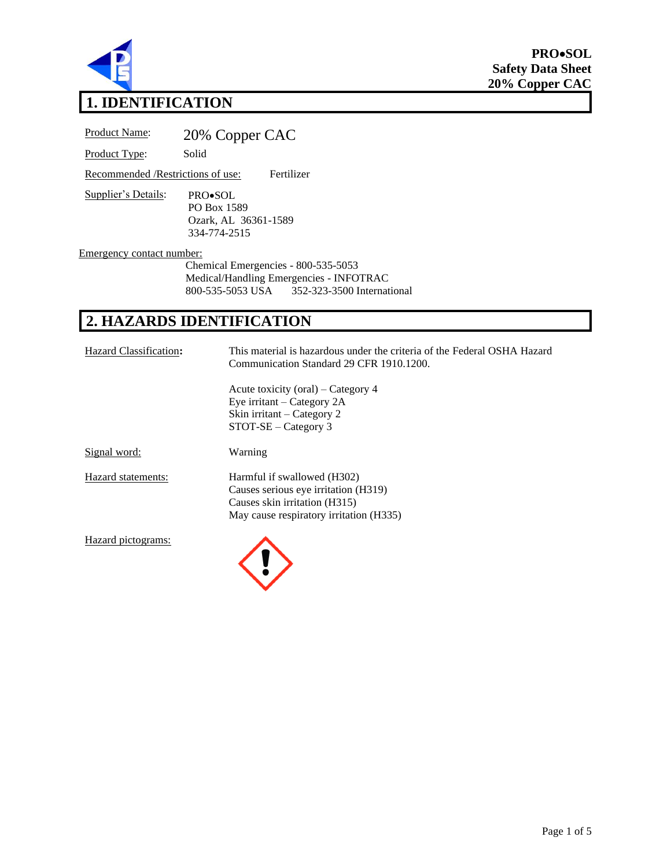

**PRO**•**SOL Safety Data Sheet 20% Copper CAC**

# **1. IDENTIFICATION**

| <b>Product Name:</b>                                             | 20% Copper CAC                                                                         |  |
|------------------------------------------------------------------|----------------------------------------------------------------------------------------|--|
| Product Type:                                                    | Solid                                                                                  |  |
| Recommended / Restrictions of use:                               | Fertilizer                                                                             |  |
| Supplier's Details:                                              | PRO•SOL<br>PO Box 1589<br>Ozark, AL 36361-1589<br>334-774-2515                         |  |
| Emergency contact number:<br>Chemical Emergencies - 800-535-5053 |                                                                                        |  |
|                                                                  | Medical/Handling Emergencies - INFOTRAC<br>800-535-5053 USA 352-323-3500 International |  |

## **2. HAZARDS IDENTIFICATION**

| Hazard Classification: | This material is hazardous under the criteria of the Federal OSHA Hazard<br>Communication Standard 29 CFR 1910.1200.                            |
|------------------------|-------------------------------------------------------------------------------------------------------------------------------------------------|
|                        | Acute toxicity (oral) – Category 4<br>Eye irritant – Category $2A$<br>Skin irritant – Category 2<br>$STOT-SE - Category$ 3                      |
| Signal word:           | Warning                                                                                                                                         |
| Hazard statements:     | Harmful if swallowed (H302)<br>Causes serious eye irritation (H319)<br>Causes skin irritation (H315)<br>May cause respiratory irritation (H335) |
| Hazard pictograms:     |                                                                                                                                                 |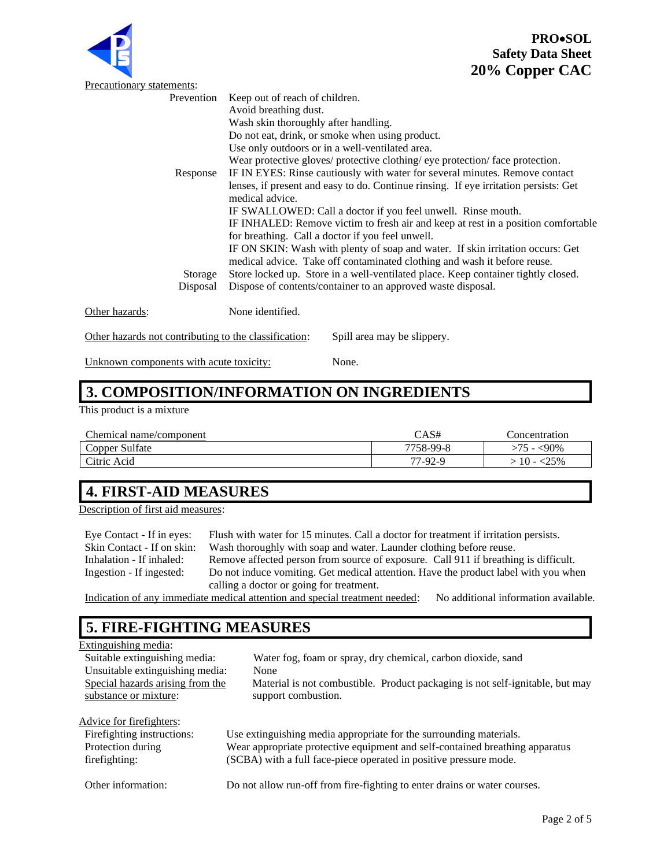



|                                                       | . .                                                                                  |
|-------------------------------------------------------|--------------------------------------------------------------------------------------|
| Precautionary statements:                             |                                                                                      |
| Prevention                                            | Keep out of reach of children.                                                       |
|                                                       | Avoid breathing dust.                                                                |
|                                                       | Wash skin thoroughly after handling.                                                 |
|                                                       | Do not eat, drink, or smoke when using product.                                      |
|                                                       | Use only outdoors or in a well-ventilated area.                                      |
|                                                       | Wear protective gloves/ protective clothing/ eye protection/ face protection.        |
| Response                                              | IF IN EYES: Rinse cautiously with water for several minutes. Remove contact          |
|                                                       | lenses, if present and easy to do. Continue rinsing. If eye irritation persists: Get |
|                                                       | medical advice.                                                                      |
|                                                       | IF SWALLOWED: Call a doctor if you feel unwell. Rinse mouth.                         |
|                                                       | IF INHALED: Remove victim to fresh air and keep at rest in a position comfortable    |
|                                                       | for breathing. Call a doctor if you feel unwell.                                     |
|                                                       | IF ON SKIN: Wash with plenty of soap and water. If skin irritation occurs: Get       |
|                                                       | medical advice. Take off contaminated clothing and wash it before reuse.             |
| Storage                                               | Store locked up. Store in a well-ventilated place. Keep container tightly closed.    |
| Disposal                                              | Dispose of contents/container to an approved waste disposal.                         |
|                                                       |                                                                                      |
| Other hazards:                                        | None identified.                                                                     |
| Other hazards not contributing to the classification: | Spill area may be slippery.                                                          |
| Unknown components with acute toxicity:               | None.                                                                                |

## **3. COMPOSITION/INFORMATION ON INGREDIENTS**

This product is a mixture

| Chemical name/component | $\bigcirc$ AS# | concentration            |
|-------------------------|----------------|--------------------------|
| Copper Sulfate          | 7758-99-8      | $-90\%$<br>$\rightarrow$ |
| Citric Acid             | 77-92-9        | :25%                     |

## **4. FIRST-AID MEASURES**

Description of first aid measures:

Eye Contact - If in eyes: Flush with water for 15 minutes. Call a doctor for treatment if irritation persists. Skin Contact - If on skin: Wash thoroughly with soap and water. Launder clothing before reuse.<br>Inhalation - If inhaled: Remove affected person from source of exposure. Call 911 if breathin Remove affected person from source of exposure. Call 911 if breathing is difficult. Ingestion - If ingested: Do not induce vomiting. Get medical attention. Have the product label with you when calling a doctor or going for treatment.

Indication of any immediate medical attention and special treatment needed: No additional information available.

#### **5. FIRE-FIGHTING MEASURES**

| Extinguishing media:             |                                                                               |
|----------------------------------|-------------------------------------------------------------------------------|
| Suitable extinguishing media:    | Water fog, foam or spray, dry chemical, carbon dioxide, sand                  |
| Unsuitable extinguishing media:  | None                                                                          |
| Special hazards arising from the | Material is not combustible. Product packaging is not self-ignitable, but may |
| substance or mixture:            | support combustion.                                                           |
|                                  |                                                                               |
| Advice for firefighters:         |                                                                               |
| Firefighting instructions:       | Use extinguishing media appropriate for the surrounding materials.            |
| Protection during                | Wear appropriate protective equipment and self-contained breathing apparatus  |
| firefighting:                    | (SCBA) with a full face-piece operated in positive pressure mode.             |
|                                  |                                                                               |

Other information: Do not allow run-off from fire-fighting to enter drains or water courses.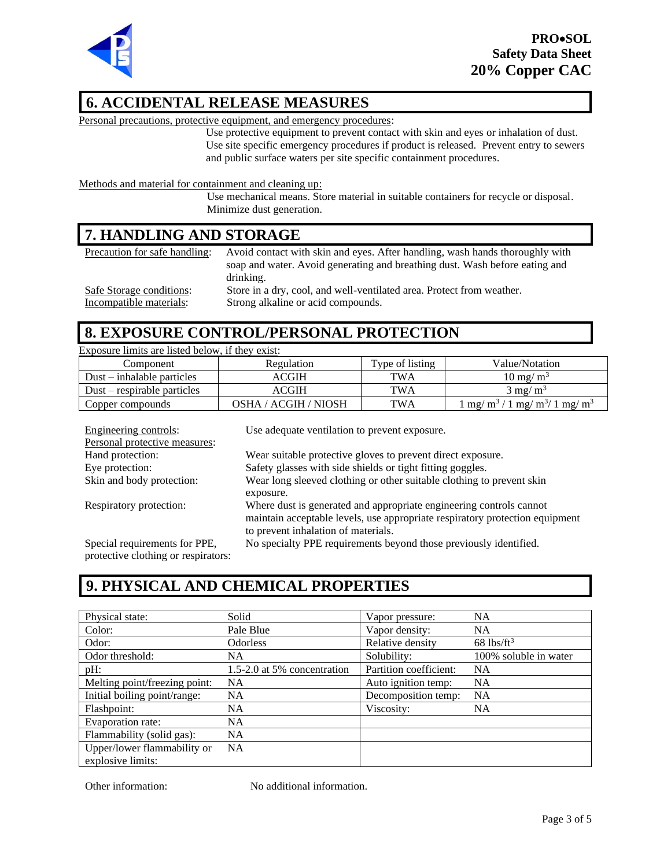

#### **6. ACCIDENTAL RELEASE MEASURES**

Personal precautions, protective equipment, and emergency procedures:

Use protective equipment to prevent contact with skin and eyes or inhalation of dust. Use site specific emergency procedures if product is released. Prevent entry to sewers and public surface waters per site specific containment procedures.

Methods and material for containment and cleaning up:

Use mechanical means. Store material in suitable containers for recycle or disposal. Minimize dust generation.

#### **7. HANDLING AND STORAGE**

| Precaution for safe handling: | Avoid contact with skin and eyes. After handling, wash hands thoroughly with |
|-------------------------------|------------------------------------------------------------------------------|
|                               | soap and water. Avoid generating and breathing dust. Wash before eating and  |
|                               | drinking.                                                                    |
| Safe Storage conditions:      | Store in a dry, cool, and well-ventilated area. Protect from weather.        |
| Incompatible materials:       | Strong alkaline or acid compounds.                                           |

#### **8. EXPOSURE CONTROL/PERSONAL PROTECTION**

| Exposure limits are listed below, if they exist: |                      |                 |                                                          |  |
|--------------------------------------------------|----------------------|-----------------|----------------------------------------------------------|--|
| Component                                        | Regulation           | Type of listing | Value/Notation                                           |  |
| $Dust - inhalable$ particles                     | <b>ACGIH</b>         | TWA             | $10 \text{ mg/m}^3$                                      |  |
| $Dust$ – respirable particles                    | ACGIH                | TWA             | $3 \text{ mg/m}^3$                                       |  |
| Copper compounds                                 | OSHA / ACGIH / NIOSH | <b>TWA</b>      | $1 \text{ mg/m}^3 / 1 \text{ mg/m}^3 / 1 \text{ mg/m}^3$ |  |

| Engineering controls:               | Use adequate ventilation to prevent exposure.                                |
|-------------------------------------|------------------------------------------------------------------------------|
| Personal protective measures:       |                                                                              |
| Hand protection:                    | Wear suitable protective gloves to prevent direct exposure.                  |
| Eye protection:                     | Safety glasses with side shields or tight fitting goggles.                   |
| Skin and body protection:           | Wear long sleeved clothing or other suitable clothing to prevent skin        |
|                                     | exposure.                                                                    |
| Respiratory protection:             | Where dust is generated and appropriate engineering controls cannot          |
|                                     | maintain acceptable levels, use appropriate respiratory protection equipment |
|                                     | to prevent inhalation of materials.                                          |
| Special requirements for PPE,       | No specialty PPE requirements beyond those previously identified.            |
| protograma alothing or requirators. |                                                                              |

protective clothing or respirators:

#### **9. PHYSICAL AND CHEMICAL PROPERTIES**

| Physical state:               | Solid                       | Vapor pressure:        | <b>NA</b>                |
|-------------------------------|-----------------------------|------------------------|--------------------------|
| Color:                        | Pale Blue                   | Vapor density:         | <b>NA</b>                |
| Odor:                         | <b>Odorless</b>             | Relative density       | $68$ lbs/ft <sup>3</sup> |
| Odor threshold:               | NA                          | Solubility:            | 100% soluble in water    |
| pH:                           | 1.5-2.0 at 5% concentration | Partition coefficient: | <b>NA</b>                |
| Melting point/freezing point: | <b>NA</b>                   | Auto ignition temp:    | <b>NA</b>                |
| Initial boiling point/range:  | <b>NA</b>                   | Decomposition temp:    | <b>NA</b>                |
| Flashpoint:                   | NA.                         | Viscosity:             | <b>NA</b>                |
| Evaporation rate:             | <b>NA</b>                   |                        |                          |
| Flammability (solid gas):     | <b>NA</b>                   |                        |                          |
| Upper/lower flammability or   | <b>NA</b>                   |                        |                          |
| explosive limits:             |                             |                        |                          |

Other information: No additional information.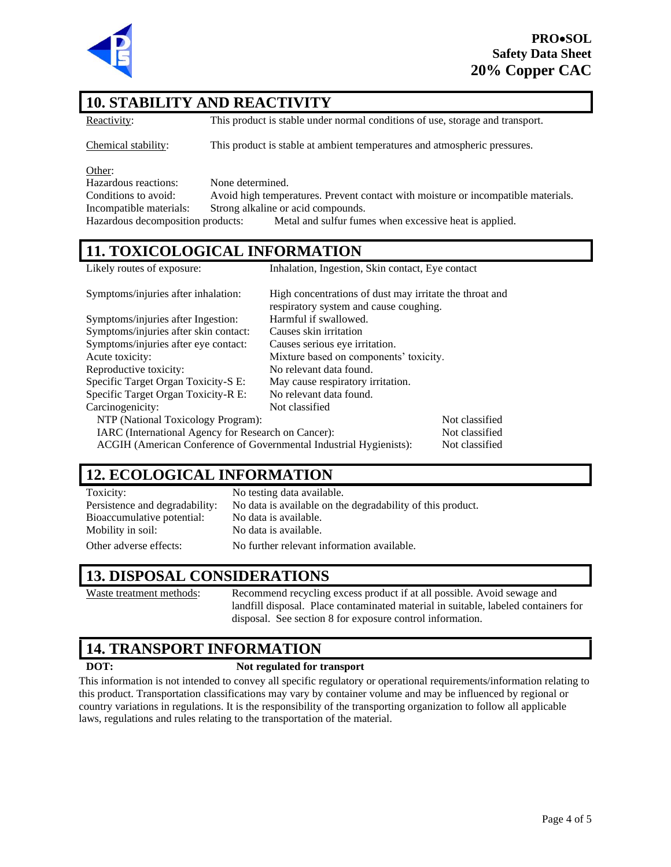

#### **10. STABILITY AND REACTIVITY**

Reactivity: This product is stable under normal conditions of use, storage and transport.

Chemical stability: This product is stable at ambient temperatures and atmospheric pressures.

Other:

Hazardous reactions: None determined.

Conditions to avoid: Avoid high temperatures. Prevent contact with moisture or incompatible materials. Incompatible materials: Strong alkaline or acid compounds. Hazardous decomposition products: Metal and sulfur fumes when excessive heat is applied.

#### **11. TOXICOLOGICAL INFORMATION**

|  | Likely routes of exposure: |  |
|--|----------------------------|--|
|  |                            |  |

Inhalation, Ingestion, Skin contact, Eye contact

| Symptoms/injuries after inhalation:                                                  | High concentrations of dust may irritate the throat and<br>respiratory system and cause coughing. |                |
|--------------------------------------------------------------------------------------|---------------------------------------------------------------------------------------------------|----------------|
| Symptoms/injuries after Ingestion:                                                   | Harmful if swallowed.                                                                             |                |
| Symptoms/injuries after skin contact:                                                | Causes skin irritation                                                                            |                |
| Symptoms/injuries after eye contact:                                                 | Causes serious eye irritation.                                                                    |                |
| Acute toxicity:                                                                      | Mixture based on components' toxicity.                                                            |                |
| Reproductive toxicity:<br>No relevant data found.                                    |                                                                                                   |                |
| Specific Target Organ Toxicity-S E:                                                  | May cause respiratory irritation.                                                                 |                |
| Specific Target Organ Toxicity-R E:                                                  | No relevant data found.                                                                           |                |
| Carcinogenicity:                                                                     | Not classified                                                                                    |                |
| NTP (National Toxicology Program):                                                   |                                                                                                   | Not classified |
| IARC (International Agency for Research on Cancer):<br>Not classified                |                                                                                                   |                |
| ACGIH (American Conference of Governmental Industrial Hygienists):<br>Not classified |                                                                                                   |                |

### **12. ECOLOGICAL INFORMATION**

| Toxicity:                      | No testing data available.                                 |
|--------------------------------|------------------------------------------------------------|
| Persistence and degradability: | No data is available on the degradability of this product. |
| Bioaccumulative potential:     | No data is available.                                      |
| Mobility in soil:              | No data is available.                                      |
| Other adverse effects:         | No further relevant information available.                 |

#### **13. DISPOSAL CONSIDERATIONS**

Waste treatment methods: Recommend recycling excess product if at all possible. Avoid sewage and landfill disposal. Place contaminated material in suitable, labeled containers for disposal. See section 8 for exposure control information.

#### **14. TRANSPORT INFORMATION**

#### **DOT: Not regulated for transport**

This information is not intended to convey all specific regulatory or operational requirements/information relating to this product. Transportation classifications may vary by container volume and may be influenced by regional or country variations in regulations. It is the responsibility of the transporting organization to follow all applicable laws, regulations and rules relating to the transportation of the material.